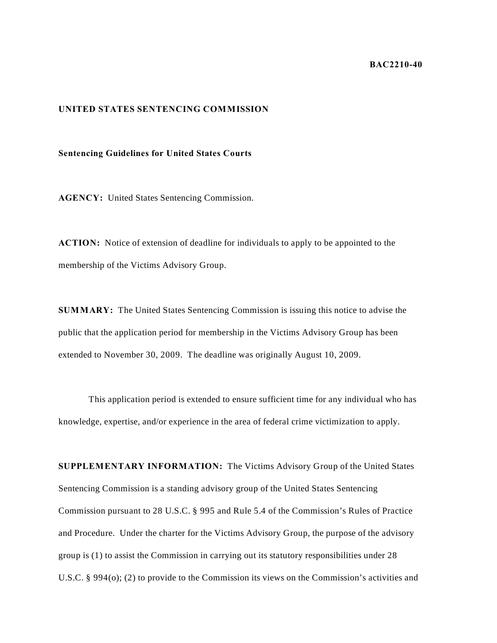## **BAC2210-40**

## **UNITED STATES SENTENCING COMMISSION**

## **Sentencing Guidelines for United States Courts**

**AGENCY:** United States Sentencing Commission.

**ACTION:** Notice of extension of deadline for individuals to apply to be appointed to the membership of the Victims Advisory Group.

**SUMMARY:** The United States Sentencing Commission is issuing this notice to advise the public that the application period for membership in the Victims Advisory Group has been extended to November 30, 2009. The deadline was originally August 10, 2009.

 This application period is extended to ensure sufficient time for any individual who has knowledge, expertise, and/or experience in the area of federal crime victimization to apply.

**SUPPLEMENTARY INFORMATION:** The Victims Advisory Group of the United States Sentencing Commission is a standing advisory group of the United States Sentencing Commission pursuant to 28 U.S.C. § 995 and Rule 5.4 of the Commission's Rules of Practice and Procedure. Under the charter for the Victims Advisory Group, the purpose of the advisory group is (1) to assist the Commission in carrying out its statutory responsibilities under 28 U.S.C. § 994(o); (2) to provide to the Commission its views on the Commission's activities and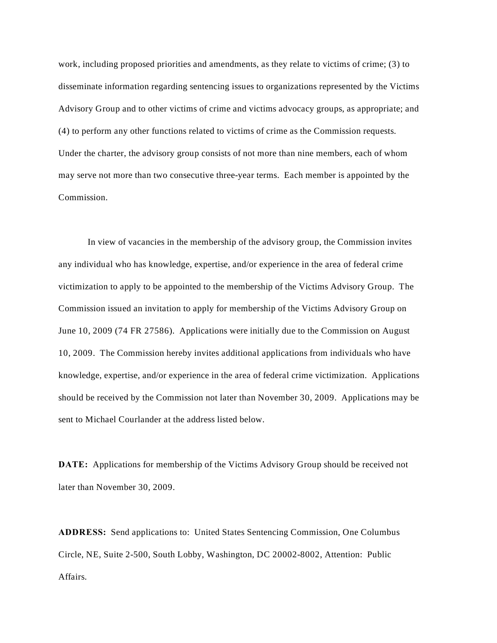work, including proposed priorities and amendments, as they relate to victims of crime; (3) to disseminate information regarding sentencing issues to organizations represented by the Victims Advisory Group and to other victims of crime and victims advocacy groups, as appropriate; and (4) to perform any other functions related to victims of crime as the Commission requests. Under the charter, the advisory group consists of not more than nine members, each of whom may serve not more than two consecutive three-year terms. Each member is appointed by the Commission.

In view of vacancies in the membership of the advisory group, the Commission invites any individual who has knowledge, expertise, and/or experience in the area of federal crime victimization to apply to be appointed to the membership of the Victims Advisory Group. The Commission issued an invitation to apply for membership of the Victims Advisory Group on June 10, 2009 (74 FR 27586). Applications were initially due to the Commission on August 10, 2009. The Commission hereby invites additional applications from individuals who have knowledge, expertise, and/or experience in the area of federal crime victimization. Applications should be received by the Commission not later than November 30, 2009. Applications may be sent to Michael Courlander at the address listed below.

**DATE:** Applications for membership of the Victims Advisory Group should be received not later than November 30, 2009.

**ADDRESS:** Send applications to: United States Sentencing Commission, One Columbus Circle, NE, Suite 2-500, South Lobby, Washington, DC 20002-8002, Attention: Public Affairs.